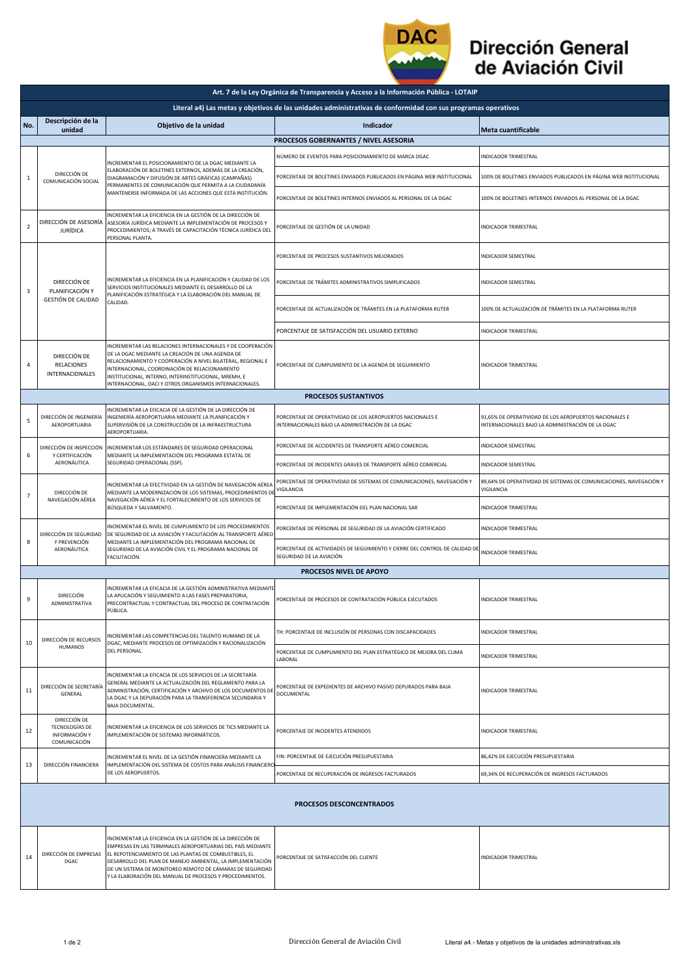

## Dirección General de Aviación Civil

|                                 | Art. 7 de la Ley Orgánica de Transparencia y Acceso a la Información Pública - LOTAIP                                                                                                                                                                                                                                                      |                                                                                                                                                                                                                                                                                                                                                                             |                                                                                                                 |                                                                                                             |  |  |  |  |
|---------------------------------|--------------------------------------------------------------------------------------------------------------------------------------------------------------------------------------------------------------------------------------------------------------------------------------------------------------------------------------------|-----------------------------------------------------------------------------------------------------------------------------------------------------------------------------------------------------------------------------------------------------------------------------------------------------------------------------------------------------------------------------|-----------------------------------------------------------------------------------------------------------------|-------------------------------------------------------------------------------------------------------------|--|--|--|--|
|                                 | Literal a4) Las metas y objetivos de las unidades administrativas de conformidad con sus programas operativos                                                                                                                                                                                                                              |                                                                                                                                                                                                                                                                                                                                                                             |                                                                                                                 |                                                                                                             |  |  |  |  |
| No.                             | Descripción de la<br>unidad                                                                                                                                                                                                                                                                                                                | Objetivo de la unidad                                                                                                                                                                                                                                                                                                                                                       | Indicador                                                                                                       | Meta cuantificable                                                                                          |  |  |  |  |
|                                 |                                                                                                                                                                                                                                                                                                                                            |                                                                                                                                                                                                                                                                                                                                                                             | PROCESOS GOBERNANTES / NIVEL ASESORIA                                                                           |                                                                                                             |  |  |  |  |
| $\mathbf{1}$                    | INCREMENTAR EL POSICIONAMIENTO DE LA DGAC MEDIANTE LA<br>ELABORACIÓN DE BOLETINES EXTERNOS, ADEMÁS DE LA CREACIÓN,<br>DIRECCIÓN DE<br>DIAGRAMACIÓN Y DIFUSIÓN DE ARTES GRÁFICAS (CAMPAÑAS)<br>COMUNICACIÓN SOCIAL<br>PERMANENTES DE COMUNICACIÓN QUE PERMITA A LA CIUDADANÍA<br>MANTENERSE INFORMADA DE LAS ACCIONES QUE ESTA INSTITUCIÓN. | NÚMERO DE EVENTOS PARA POSICIONAMIENTO DE MARCA DGAC                                                                                                                                                                                                                                                                                                                        | INDICADOR TRIMESTRAL                                                                                            |                                                                                                             |  |  |  |  |
|                                 |                                                                                                                                                                                                                                                                                                                                            |                                                                                                                                                                                                                                                                                                                                                                             | PORCENTAJE DE BOLETINES ENVIADOS PUBLICADOS EN PÁGINA WEB INSTITUCIONAL                                         | 100% DE BOLETINES ENVIADOS PUBLICADOS EN PÁGINA WEB INSTITUCIONAL                                           |  |  |  |  |
|                                 |                                                                                                                                                                                                                                                                                                                                            |                                                                                                                                                                                                                                                                                                                                                                             | PORCENTAJE DE BOLETINES INTERNOS ENVIADOS AL PERSONAL DE LA DGAC                                                | 100% DE BOLETINES INTERNOS ENVIADOS AL PERSONAL DE LA DGAC                                                  |  |  |  |  |
| $\overline{2}$                  | DIRECCIÓN DE ASESORÍA<br><b>JURÍDICA</b>                                                                                                                                                                                                                                                                                                   | NCREMENTAR LA EFICIENCIA EN LA GESTIÓN DE LA DIRECCIÓN DE<br>ASESORÍA JURÍDICA MEDIANTE LA IMPLEMENTACIÓN DE PROCESOS Y<br>PROCEDIMIENTOS; A TRAVÉS DE CAPACITACIÓN TÉCNICA JURÍDICA DEL<br>PERSONAL PLANTA.                                                                                                                                                                | PORCENTAJE DE GESTIÓN DE LA UNIDAD                                                                              | <b>INDICADOR TRIMESTRAL</b>                                                                                 |  |  |  |  |
| 3                               | DIRECCIÓN DE<br>PLANIFICACIÓN Y<br><b>GESTIÓN DE CALIDAD</b>                                                                                                                                                                                                                                                                               | INCREMENTAR LA EFICIENCIA EN LA PLANIFICACIÓN Y CALIDAD DE LOS<br>SERVICIOS INSTITUCIONALES MEDIANTE EL DESARROLLO DE LA<br>PLANIFICACIÓN ESTRATÉGICA Y LA ELABORACIÓN DEL MANUAL DE<br>CALIDAD.                                                                                                                                                                            | PORCENTAJE DE PROCESOS SUSTANTIVOS MEJORADOS                                                                    | INDICADOR SEMESTRAL                                                                                         |  |  |  |  |
|                                 |                                                                                                                                                                                                                                                                                                                                            |                                                                                                                                                                                                                                                                                                                                                                             | PORCENTAJE DE TRÁMITES ADMINISTRATIVOS SIMPLIFICADOS                                                            | INDICADOR SEMESTRAL                                                                                         |  |  |  |  |
|                                 |                                                                                                                                                                                                                                                                                                                                            |                                                                                                                                                                                                                                                                                                                                                                             | PORCENTAJE DE ACTUALIZACIÓN DE TRÁMITES EN LA PLATAFORMA RUTER                                                  | 100% DE ACTUALIZACIÓN DE TRÁMITES EN LA PLATAFORMA RUTER                                                    |  |  |  |  |
|                                 |                                                                                                                                                                                                                                                                                                                                            |                                                                                                                                                                                                                                                                                                                                                                             | PORCENTAJE DE SATISFACCIÓN DEL USUARIO EXTERNO                                                                  | <b>INDICADOR TRIMESTRAL</b>                                                                                 |  |  |  |  |
| 4                               | DIRECCIÓN DE<br>RELACIONES<br>INTERNACIONALES                                                                                                                                                                                                                                                                                              | INCREMENTAR LAS RELACIONES INTERNACIONALES Y DE COOPERACIÓN<br>DE LA DGAC MEDIANTE LA CREACIÓN DE UNA AGENDA DE<br>RELACIONAMIENTO Y COOPERACIÓN A NIVEL BILATERAL, REGIONAL E<br>INTERNACIONAL, COORDINACIÓN DE RELACIONAMIENTO<br>INSTITUCIONAL, INTERNO, INTERINSTITUCIONAL, MREMH, E<br>INTERNACIONAL, OACI Y OTROS ORGANISMOS INTERNACIONALES.                         | PORCENTAJE DE CUMPLIMIENTO DE LA AGENDA DE SEGUIMIENTO                                                          | <b>INDICADOR TRIMESTRAL</b>                                                                                 |  |  |  |  |
|                                 |                                                                                                                                                                                                                                                                                                                                            |                                                                                                                                                                                                                                                                                                                                                                             | <b>PROCESOS SUSTANTIVOS</b>                                                                                     |                                                                                                             |  |  |  |  |
| 5                               | DIRECCIÓN DE INGENIERÍA<br>AEROPORTUARIA                                                                                                                                                                                                                                                                                                   | INCREMENTAR LA EFICACIA DE LA GESTIÓN DE LA DIRECCIÓN DE<br>INGENIERÍA AEROPORTUARIA MEDIANTE LA PLANIFICACIÓN Y<br>SUPERVISIÓN DE LA CONSTRUCCIÓN DE LA INFRAESTRUCTURA<br>AEROPORTUARIA.                                                                                                                                                                                  | PORCENTAJE DE OPERATIVIDAD DE LOS AEROPUERTOS NACIONALES E<br>INTERNACIONALES BAJO LA ADMINISTRACIÓN DE LA DGAC | 91,65% DE OPERATIVIDAD DE LOS AEROPUERTOS NACIONALES E<br>INTERNACIONALES BAJO LA ADMINISTRACIÓN DE LA DGAC |  |  |  |  |
|                                 | Y CERTIFICACIÓN<br>AERONÁUTICA                                                                                                                                                                                                                                                                                                             | DIRECCIÓN DE INSPECCIÓN INCREMENTAR LOS ESTÁNDARES DE SEGURIDAD OPERACIONAL                                                                                                                                                                                                                                                                                                 | PORCENTAJE DE ACCIDENTES DE TRANSPORTE AÉREO COMERCIAL                                                          | <b>INDICADOR SEMESTRAL</b>                                                                                  |  |  |  |  |
| 6                               |                                                                                                                                                                                                                                                                                                                                            | MEDIANTE LA IMPLEMENTACIÓN DEL PROGRAMA ESTATAL DE<br>SEGURIDAD OPERACIONAL (SSP).                                                                                                                                                                                                                                                                                          | PORCENTAJE DE INCIDENTES GRAVES DE TRANSPORTE AÉREO COMERCIAL                                                   | INDICADOR SEMESTRAL                                                                                         |  |  |  |  |
| $\overline{7}$                  | DIRECCIÓN DE<br>NAVEGACIÓN AÉREA                                                                                                                                                                                                                                                                                                           | INCREMENTAR LA EFECTIVIDAD EN LA GESTIÓN DE NAVEGACIÓN AÉREA<br>MEDIANTE LA MODERNIZACIÓN DE LOS SISTEMAS, PROCEDIMIENTOS DI<br>NAVEGACIÓN AÉREA Y EL FORTALECIMIENTO DE LOS SERVICIOS DE<br>BÚSQUEDA Y SALVAMENTO.                                                                                                                                                         | PORCENTAJE DE OPERATIVIDAD DE SISTEMAS DE COMUNICACIONES, NAVEGACIÓN Y<br>VIGILANCIA                            | 89,64% DE OPERATIVIDAD DE SISTEMAS DE COMUNICACIONES, NAVEGACIÓN Y<br>VIGILANCIA                            |  |  |  |  |
|                                 |                                                                                                                                                                                                                                                                                                                                            |                                                                                                                                                                                                                                                                                                                                                                             | PORCENTAJE DE IMPLEMENTACIÓN DEL PLAN NACIONAL SAR                                                              | INDICADOR TRIMESTRAL                                                                                        |  |  |  |  |
| 8                               | DIRECCIÓN DE SEGURIDAD<br>Y PREVENCIÓN<br>AERONÁUTICA                                                                                                                                                                                                                                                                                      | NCREMENTAR EL NIVEL DE CUMPLIMIENTO DE LOS PROCEDIMIENTOS<br>DE SEGURIDAD DE LA AVIACIÓN Y FACILITACIÓN AL TRANSPORTE AÉREO<br>MEDIANTE LA IMPLEMENTACIÓN DEL PROGRAMA NACIONAL DE<br>SEGURIDAD DE LA AVIACIÓN CIVIL Y EL PROGRAMA NACIONAL DE<br>FACILITACIÓN.                                                                                                             | PORCENTAJE DE PERSONAL DE SEGURIDAD DE LA AVIACIÓN CERTIFICADO                                                  | INDICADOR TRIMESTRAL                                                                                        |  |  |  |  |
|                                 |                                                                                                                                                                                                                                                                                                                                            |                                                                                                                                                                                                                                                                                                                                                                             | PORCENTAJE DE ACTIVIDADES DE SEGUIMIENTO Y CIERRE DEL CONTROL DE CALIDAD DE<br>SEGURIDAD DE LA AVIACIÓN         | <b>INDICADOR TRIMESTRAL</b>                                                                                 |  |  |  |  |
|                                 |                                                                                                                                                                                                                                                                                                                                            |                                                                                                                                                                                                                                                                                                                                                                             | PROCESOS NIVEL DE APOYO                                                                                         |                                                                                                             |  |  |  |  |
| 9                               | DIRECCIÓN<br>ADMINISTRATIVA                                                                                                                                                                                                                                                                                                                | INCREMENTAR LA EFICACIA DE LA GESTIÓN ADMINISTRATIVA MEDIANTE<br>LA APLICACIÓN Y SEGUIMIENTO A LAS FASES PREPARATORIA.<br>PRECONTRACTUAL Y CONTRACTUAL DEL PROCESO DE CONTRATACIÓN<br>PÚBLICA.                                                                                                                                                                              | PORCENTAJE DE PROCESOS DE CONTRATACIÓN PÚBLICA EJECUTADOS                                                       | <b>INDICADOR TRIMESTRAL</b>                                                                                 |  |  |  |  |
| 10                              | DIRECCIÓN DE RECURSOS<br>HUMANOS                                                                                                                                                                                                                                                                                                           | INCREMENTAR LAS COMPETENCIAS DEL TALENTO HUMANO DE LA<br>DGAC, MEDIANTE PROCESOS DE OPTIMIZACIÓN Y RACIONALIZACIÓN<br>DEL PERSONAL.                                                                                                                                                                                                                                         | TH: PORCENTAJE DE INCLUSIÓN DE PERSONAS CON DISCAPACIDADES                                                      | <b>INDICADOR TRIMESTRAL</b>                                                                                 |  |  |  |  |
|                                 |                                                                                                                                                                                                                                                                                                                                            |                                                                                                                                                                                                                                                                                                                                                                             | PORCENTAJE DE CUMPLIMIENTO DEL PLAN ESTRATÉGICO DE MEJORA DEL CLIMA<br>LABORAL                                  | <b>INDICADOR TRIMESTRAL</b>                                                                                 |  |  |  |  |
| 11                              | DIRECCIÓN DE SECRETARÍA<br>GENERAL                                                                                                                                                                                                                                                                                                         | INCREMENTAR LA EFICACIA DE LOS SERVICIOS DE LA SECRETARÍA<br>GENERAL MEDIANTE LA ACTUALIZACIÓN DEL REGLAMENTO PARA LA<br>ADMINISTRACIÓN, CERTIFICACIÓN Y ARCHIVO DE LOS DOCUMENTOS DE<br>LA DGAC Y LA DEPURACIÓN PARA LA TRANSFERENCIA SECUNDARIA Y<br><b>BAJA DOCUMENTAL.</b>                                                                                              | PORCENTAJE DE EXPEDIENTES DE ARCHIVO PASIVO DEPURADOS PARA BAJA<br>DOCUMENTAL                                   | <b>INDICADOR TRIMESTRAL</b>                                                                                 |  |  |  |  |
| 12                              | DIRECCIÓN DE<br><b>TECNOLOGÍAS DE</b><br>INFORMACIÓN Y<br>COMUNICACIÓN                                                                                                                                                                                                                                                                     | INCREMENTAR LA EFICIENCIA DE LOS SERVICIOS DE TICS MEDIANTE LA<br>IMPLEMENTACIÓN DE SISTEMAS INFORMÁTICOS.                                                                                                                                                                                                                                                                  | PORCENTAJE DE INCIDENTES ATENDIDOS                                                                              | <b>INDICADOR TRIMESTRAL</b>                                                                                 |  |  |  |  |
|                                 | DIRECCIÓN FINANCIERA                                                                                                                                                                                                                                                                                                                       | INCREMENTAR EL NIVEL DE LA GESTIÓN FINANCIERA MEDIANTE LA<br>IMPLEMENTACIÓN DEL SISTEMA DE COSTOS PARA ANÁLISIS FINANCIERO<br>DE LOS AEROPUERTOS.                                                                                                                                                                                                                           | FIN: PORCENTAJE DE EJECUCIÓN PRESUPUESTARIA                                                                     | 86,42% DE EJECUCIÓN PRESUPUESTARIA                                                                          |  |  |  |  |
| 13                              |                                                                                                                                                                                                                                                                                                                                            |                                                                                                                                                                                                                                                                                                                                                                             | PORCENTAJE DE RECUPERACIÓN DE INGRESOS FACTURADOS                                                               | 69,34% DE RECUPERACIÓN DE INGRESOS FACTURADOS                                                               |  |  |  |  |
| <b>PROCESOS DESCONCENTRADOS</b> |                                                                                                                                                                                                                                                                                                                                            |                                                                                                                                                                                                                                                                                                                                                                             |                                                                                                                 |                                                                                                             |  |  |  |  |
| 14                              | DIRECCIÓN DE EMPRESAS<br>DGAC                                                                                                                                                                                                                                                                                                              | INCREMENTAR LA EFICIENCIA EN LA GESTIÓN DE LA DIRECCIÓN DE<br>EMPRESAS EN LAS TERMINALES AEROPORTUARIAS DEL PAÍS MEDIANTE<br>EL REPOTENCIAMIENTO DE LAS PLANTAS DE COMBUSTIBLES, EL<br>DESARROLLO DEL PLAN DE MANEJO AMBIENTAL, LA IMPLEMENTACIÓN<br>DE UN SISTEMA DE MONITOREO REMOTO DE CÁMARAS DE SEGURIDAD<br>Y LA ELABORACIÓN DEL MANUAL DE PROCESOS Y PROCEDIMIENTOS. | PORCENTAJE DE SATISFACCIÓN DEL CLIENTE                                                                          | <b>INDICADOR TRIMESTRAL</b>                                                                                 |  |  |  |  |